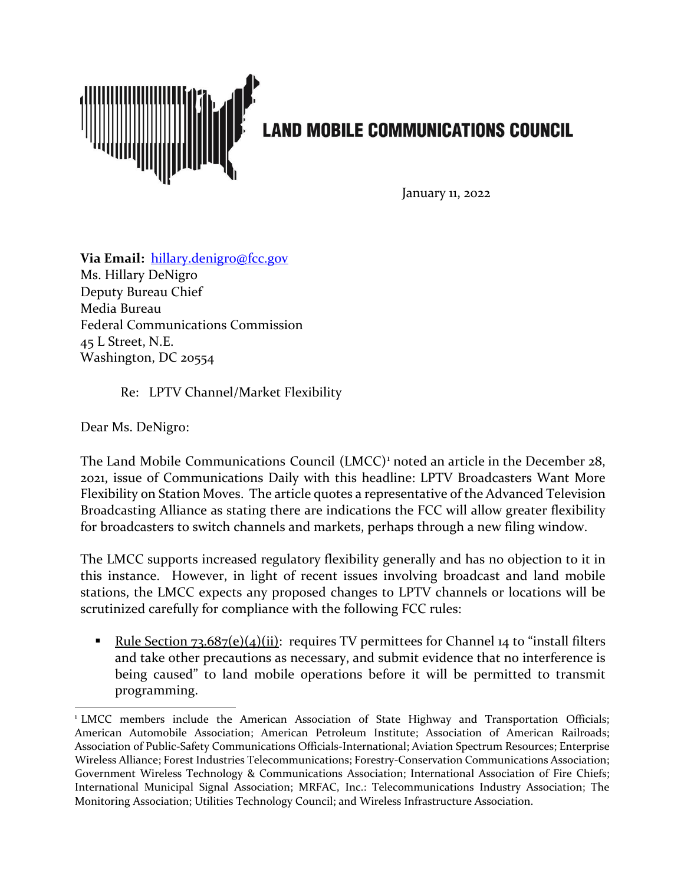

January 11, 2022

**Via Email:** [hillary.denigro@fcc.gov](mailto:hillary.denigro@fcc.gov) Ms. Hillary DeNigro Deputy Bureau Chief Media Bureau Federal Communications Commission 45 L Street, N.E. Washington, DC 20554

Re: LPTV Channel/Market Flexibility

Dear Ms. DeNigro:

The Land Mobile Communications Council (LMCC)<sup>[1](#page-0-0)</sup> noted an article in the December 28, 2021, issue of Communications Daily with this headline: LPTV Broadcasters Want More Flexibility on Station Moves. The article quotes a representative of the Advanced Television Broadcasting Alliance as stating there are indications the FCC will allow greater flexibility for broadcasters to switch channels and markets, perhaps through a new filing window.

The LMCC supports increased regulatory flexibility generally and has no objection to it in this instance. However, in light of recent issues involving broadcast and land mobile stations, the LMCC expects any proposed changes to LPTV channels or locations will be scrutinized carefully for compliance with the following FCC rules:

Rule Section  $73.687(e)(4)(ii)$ : requires TV permittees for Channel 14 to "install filters" and take other precautions as necessary, and submit evidence that no interference is being caused" to land mobile operations before it will be permitted to transmit programming.

<span id="page-0-0"></span><sup>&</sup>lt;sup>1</sup> LMCC members include the American Association of State Highway and Transportation Officials; American Automobile Association; American Petroleum Institute; Association of American Railroads; Association of Public-Safety Communications Officials-International; Aviation Spectrum Resources; Enterprise Wireless Alliance; Forest Industries Telecommunications; Forestry-Conservation Communications Association; Government Wireless Technology & Communications Association; International Association of Fire Chiefs; International Municipal Signal Association; MRFAC, Inc.: Telecommunications Industry Association; The Monitoring Association; Utilities Technology Council; and Wireless Infrastructure Association.